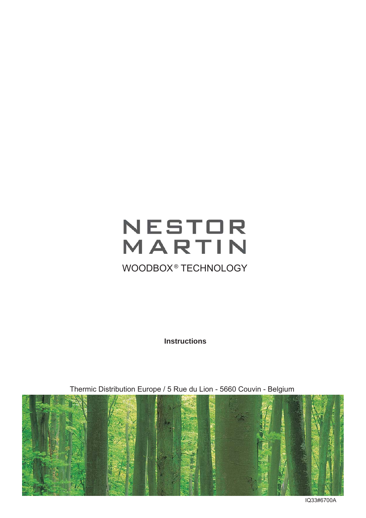# NESTOR<br>MARTIN WOODBOX<sup>®</sup> TECHNOLOGY

**Instructions**



Thermic Distribution Europe / 5 Rue du Lion - 5660 Couvin - Belgium

IQ33#6700A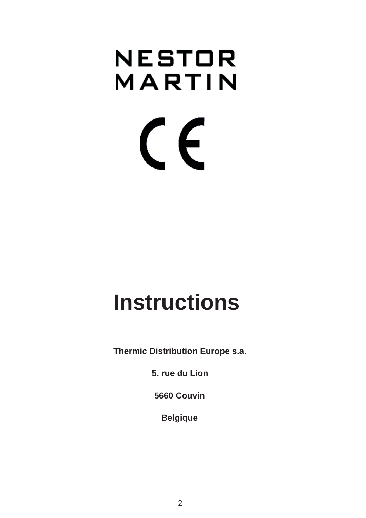# NESTOR MARTIN  $\epsilon$

# **Instructions**

 **Thermic Distribution Europe s.a.**

 **5, rue du Lion**

 **5660 Couvin**

 **Belgique**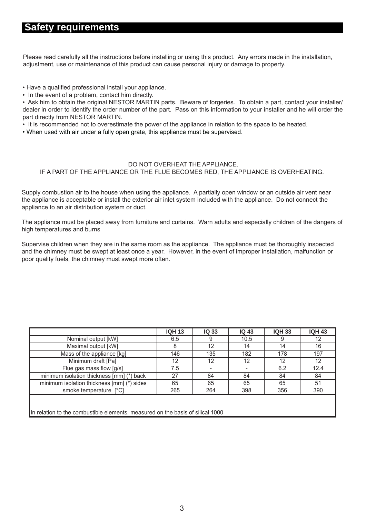#### **Safety requirements**

Please read carefully all the instructions before installing or using this product. Any errors made in the installation, adjustment, use or maintenance of this product can cause personal injury or damage to property.

• Have a qualified professional install your appliance.

• In the event of a problem, contact him directly.

• Ask him to obtain the original NESTOR MARTIN parts. Beware of forgeries. To obtain a part, contact your installer/ dealer in order to identify the order number of the part. Pass on this information to your installer and he will order the part directly from NESTOR MARTIN.

• It is recommended not to overestimate the power of the appliance in relation to the space to be heated.

• When used with air under a fully open grate, this appliance must be supervised.

#### DO NOT OVERHEAT THE APPLIANCE. IF A PART OF THE APPLIANCE OR THE FLUE BECOMES RED, THE APPLIANCE IS OVERHEATING.

Supply combustion air to the house when using the appliance. A partially open window or an outside air vent near the appliance is acceptable or install the exterior air inlet system included with the appliance. Do not connect the appliance to an air distribution system or duct.

The appliance must be placed away from furniture and curtains. Warn adults and especially children of the dangers of high temperatures and burns

Supervise children when they are in the same room as the appliance. The appliance must be thoroughly inspected and the chimney must be swept at least once a year. However, in the event of improper installation, malfunction or poor quality fuels, the chimney must swept more often.

|                                                                                | <b>IQH 13</b> | <b>IQ 33</b> | <b>IQ 43</b> | <b>IQH 33</b> | <b>IQH 43</b>   |  |  |  |
|--------------------------------------------------------------------------------|---------------|--------------|--------------|---------------|-----------------|--|--|--|
| Nominal output [kW]                                                            | 6.5           | 9            | 10.5         | 9             | 12              |  |  |  |
| Maximal output [kW]                                                            | 8             | 12           | 14           | 14            | 16              |  |  |  |
| Mass of the appliance [kg]                                                     | 146           | 135          | 182          | 178           | 197             |  |  |  |
| Minimum draft [Pa]                                                             | 12            | 12           | 12           | 12            | 12 <sup>°</sup> |  |  |  |
| Flue gas mass flow [g/s]                                                       | 7.5           |              |              | 6.2           | 12.4            |  |  |  |
| minimum isolation thickness [mm] (*) back                                      | 27            | 84           | 84           | 84            | 84              |  |  |  |
| minimum isolation thickness [mm] (*) sides                                     | 65            | 65           | 65           | 65            | 51              |  |  |  |
| smoke temperature [°C]                                                         | 265           | 264          | 398          | 356           | 390             |  |  |  |
|                                                                                |               |              |              |               |                 |  |  |  |
| In relation to the combustible elements, measured on the basis of silical 1000 |               |              |              |               |                 |  |  |  |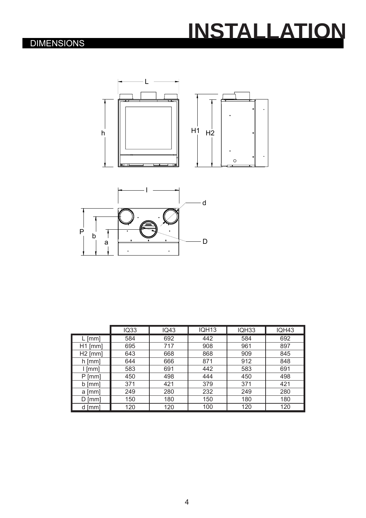# **INSTALLATION**

### DIMENSIONS





|           | <b>IQ33</b> | <b>IQ43</b> | IQH <sub>13</sub> | IQH33 | <b>IQH43</b> |  |
|-----------|-------------|-------------|-------------------|-------|--------------|--|
| L [mm]    | 584         | 692         | 442               | 584   | 692          |  |
| $H1$ [mm] | 695         | 717         | 908               | 961   | 897          |  |
| $H2$ [mm] | 643         | 668         | 868               | 909   | 845          |  |
| h [mm]    | 644         | 666         | 871               | 912   | 848          |  |
| l [mm]    | 583         | 691         | 442               | 583   | 691          |  |
| $P$ [mm]  | 450         | 498         | 444               | 450   | 498          |  |
| $b$ [mm]  | 371         | 421         | 379               | 371   | 421          |  |
| a [mm]    | 249         | 280         | 232               | 249   | 280          |  |
| [mm]      | 150         | 180         | 150               | 180   | 180          |  |
| d [mm]    | 120         | 120         | 100               | 120   | 120          |  |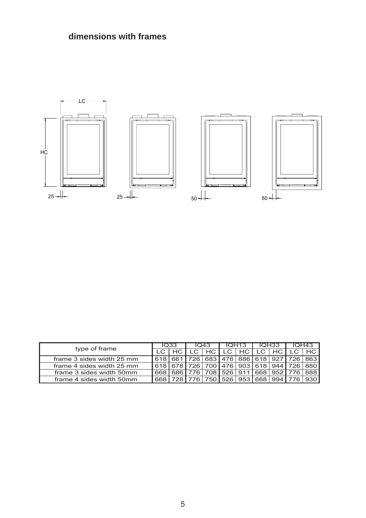



|                           | 1033 |  | 1043             |       | IQH <sub>13</sub>                 |      | IQH33       |                 | IQH43.                          |         |
|---------------------------|------|--|------------------|-------|-----------------------------------|------|-------------|-----------------|---------------------------------|---------|
| type of frame             |      |  | $\overline{C}$ 1 | HC I  | $\cdot$ LC $^{\prime}$            | HC I | LC.         | HC.             |                                 |         |
| frame 3 sides width 25 mm |      |  |                  |       |                                   |      |             |                 | 726 683 476 886 618 927 726 863 |         |
| frame 4 sides width 25 mm | 618  |  |                  |       | 726   700   476   903   618   944 |      |             |                 | 7261                            | l 880 l |
| frame 3 sides width 50mm  | 668  |  |                  |       | 708   526   911                   |      |             | 668   952   776 |                                 | 888     |
| frame 4 sides width 50mm  | 668  |  |                  | 7501. |                                   |      | 526 953 668 | 994 l           |                                 |         |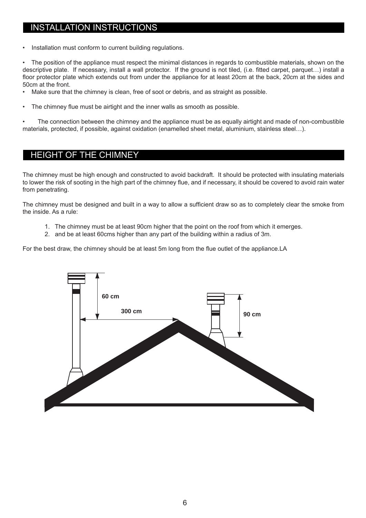#### INSTALLATION INSTRUCTIONS

Installation must conform to current building regulations.

The position of the appliance must respect the minimal distances in regards to combustible materials, shown on the descriptive plate. If necessary, install a wall protector. If the ground is not tiled, (i.e. fitted carpet, parquet...) install a floor protector plate which extends out from under the appliance for at least 20cm at the back, 20cm at the sides and 50cm at the front.

• Make sure that the chimney is clean, free of soot or debris, and as straight as possible.

The chimney flue must be airtight and the inner walls as smooth as possible.

• The connection between the chimney and the appliance must be as equally airtight and made of non-combustible materials, protected, if possible, against oxidation (enamelled sheet metal, aluminium, stainless steel…).

#### HEIGHT OF THE CHIMNEY

The chimney must be high enough and constructed to avoid backdraft. It should be protected with insulating materials to lower the risk of sooting in the high part of the chimney flue, and if necessary, it should be covered to avoid rain water from penetrating.

The chimney must be designed and built in a way to allow a sufficient draw so as to completely clear the smoke from the inside. As a rule:

- 1. The chimney must be at least 90cm higher that the point on the roof from which it emerges.
- 2. and be at least 60cms higher than any part of the building within a radius of 3m.

For the best draw, the chimney should be at least 5m long from the flue outlet of the appliance. LA

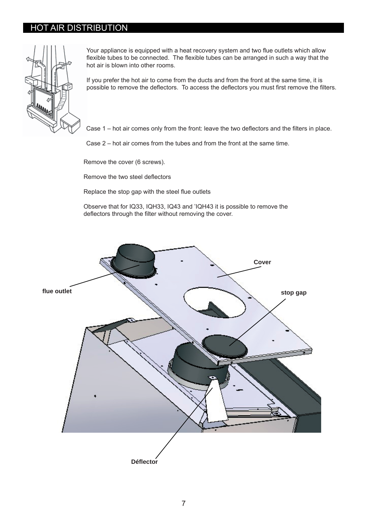#### HOT AIR DISTRIBUTION



Your appliance is equipped with a heat recovery system and two flue outlets which allow flexible tubes to be connected. The flexible tubes can be arranged in such a way that the hot air is blown into other rooms.

If you prefer the hot air to come from the ducts and from the front at the same time, it is possible to remove the deflectors. To access the deflectors you must first remove the filters.

Case 1 – hot air comes only from the front: leave the two deflectors and the filters in place.

Case 2 – hot air comes from the tubes and from the front at the same time.

Remove the cover (6 screws).

Remove the two steel deflectors

Replace the stop gap with the steel flue outlets

Observe that for IQ33, IQH33, IQ43 and 'IQH43 it is possible to remove the deflectors through the filter without removing the cover.

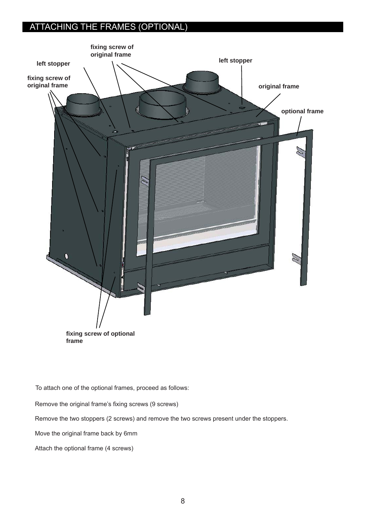### ATTACHING THE FRAMES (OPTIONAL)



To attach one of the optional frames, proceed as follows:

Remove the original frame's fixing screws (9 screws)

Remove the two stoppers (2 screws) and remove the two screws present under the stoppers.

Move the original frame back by 6mm

Attach the optional frame (4 screws)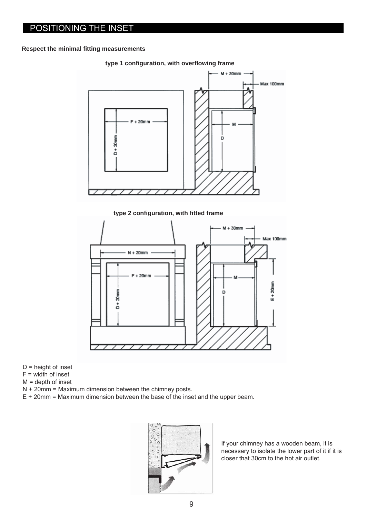#### POSITIONING THE INSET

#### **Respect the minimal fi tting measurements**



**type 1 confi guration, with overfl owing frame**

 $D$  = height of inset

- $F = \text{width of inset}$
- $M =$  depth of inset
- N + 20mm = Maximum dimension between the chimney posts.
- E + 20mm = Maximum dimension between the base of the inset and the upper beam.



If your chimney has a wooden beam, it is necessary to isolate the lower part of it if it is closer that 30cm to the hot air outlet.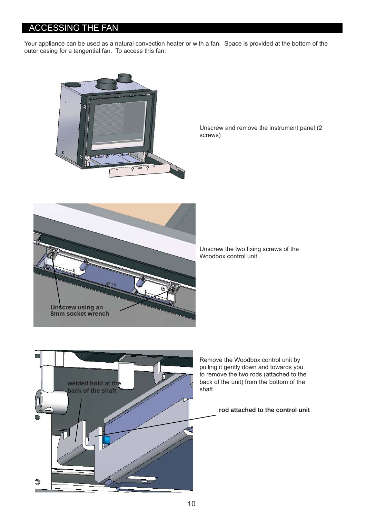#### ACCESSING THE FAN

Your appliance can be used as a natural convection heater or with a fan. Space is provided at the bottom of the outer casing for a tangential fan. To access this fan:



Unscrew and remove the instrument panel (2 screws)



Unscrew the two fixing screws of the Woodbox control unit



Remove the Woodbox control unit by pulling it gently down and towards you to remove the two rods (attached to the back of the unit) from the bottom of the

#### **rod attached to the control unit**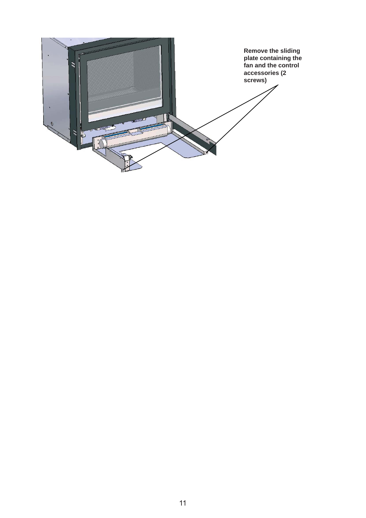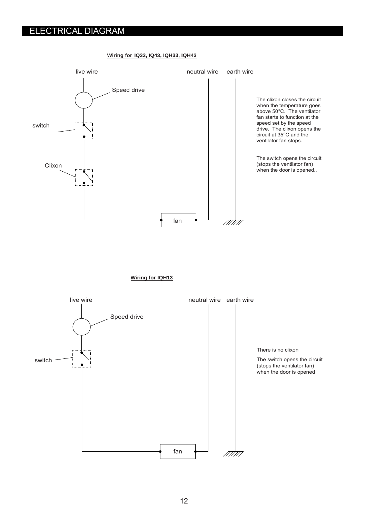#### ELECTRICAL DIAGRAM

#### **Wiring for IQ33, IQ43, IQH33, IQH43**



**Wiring for IQH13**

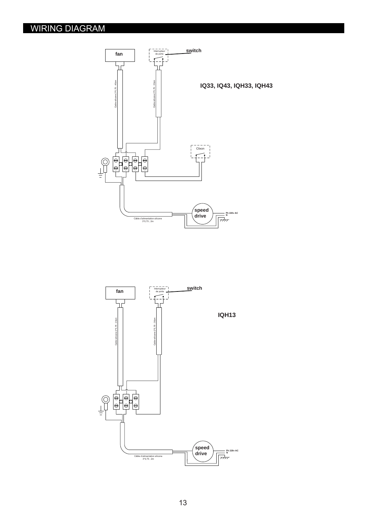### WIRING DIAGRAM



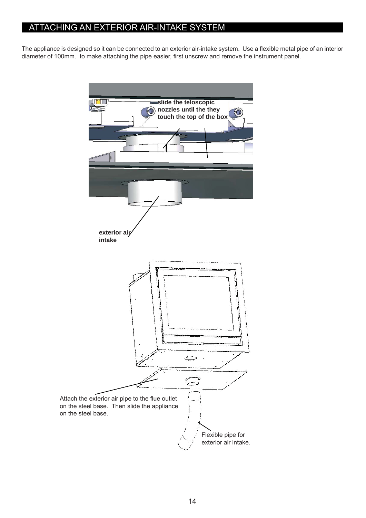#### ATTACHING AN EXTERIOR AIR-INTAKE SYSTEM

The appliance is designed so it can be connected to an exterior air-intake system. Use a flexible metal pipe of an interior diameter of 100mm. to make attaching the pipe easier, first unscrew and remove the instrument panel.

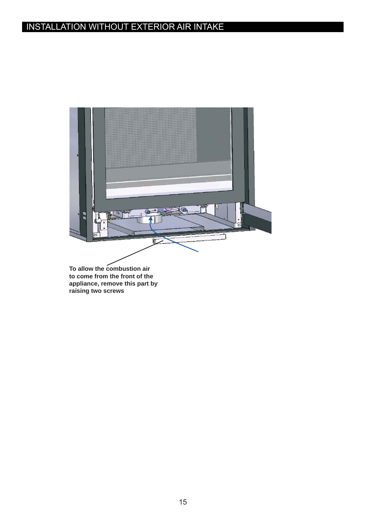## INSTALLATION WITHOUT EXTERIOR AIR INTAKE



**to come from the front of the appliance, remove this part by raising two screws**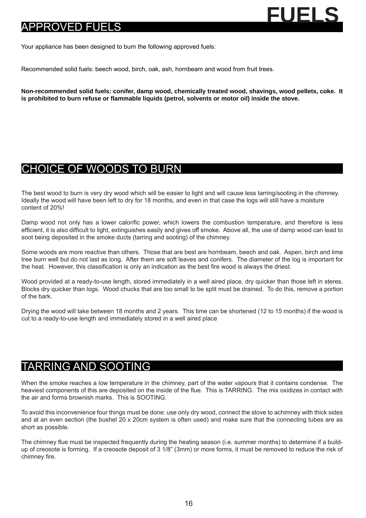

Your appliance has been designed to burn the following approved fuels:

Recommended solid fuels: beech wood, birch, oak, ash, hornbeam and wood from fruit trees.

**Non-recommended solid fuels: conifer, damp wood, chemically treated wood, shavings, wood pellets, coke. It is prohibited to burn refuse or fl ammable liquids (petrol, solvents or motor oil) inside the stove.**

# CHOICE OF WOODS TO BURN

The best wood to burn is very dry wood which will be easier to light and will cause less tarring/sooting in the chimney. Ideally the wood will have been left to dry for 18 months, and even in that case the logs will still have a moisture content of 20%!

Damp wood not only has a lower calorific power, which lowers the combustion temperature, and therefore is less efficient, it is also difficult to light, extinguishes easily and gives off smoke. Above all, the use of damp wood can lead to soot being deposited in the smoke ducts (tarring and sooting) of the chimney.

Some woods are more reactive than others. Those that are best are hornbeam, beech and oak. Aspen, birch and lime tree burn well but do not last as long. After them are soft leaves and conifers. The diameter of the log is important for the heat. However, this classification is only an indication as the best fire wood is always the driest.

Wood provided at a ready-to-use length, stored immediately in a well aired place, dry quicker than those left in steres. Blocks dry quicker than logs. Wood chucks that are too small to be split must be drained. To do this, remove a portion of the bark.

Drying the wood will take between 18 months and 2 years. This time can be shortened (12 to 15 months) if the wood is cut to a ready-to-use length and immediately stored in a well aired place

### TARRING AND SOOTING

When the smoke reaches a low temperature in the chimney, part of the water vapours that it contains condense. The heaviest components of this are deposited on the inside of the flue. This is TARRING. The mix oxidizes in contact with the air and forms brownish marks. This is SOOTING.

To avoid this inconvenience four things must be done: use only dry wood, connect the stove to achimney with thick sides and at an even section (the bushel 20 x 20cm system is often used) and make sure that the connecting tubes are as short as possible.

The chimney flue must be inspected frequently during the heating season (i.e. summer months) to determine if a buildup of creosote is forming. If a creosote deposit of 3 1/8" (3mm) or more forms, it must be removed to reduce the risk of chimney fire.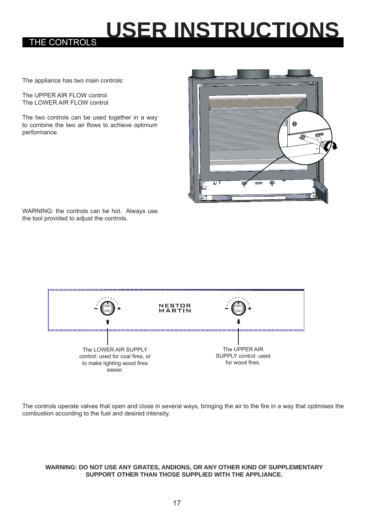# **USER INSTRUCTIONS**

The appliance has two main controls:

The UPPER AIR FLOW control The LOWER AIR FLOW control

THE CONTROLS

The two controls can be used together in a way to combine the two air flows to achieve optimum performance



WARNING: the controls can be hot. Always use the tool provided to adjust the controls.



The controls operate valves that open and close in several ways, bringing the air to the fire in a way that optimises the combustion according to the fuel and desired intensity.

#### **WARNING: DO NOT USE ANY GRATES, ANDIONS, OR ANY OTHER KIND OF SUPPLEMENTARY SUPPORT OTHER THAN THOSE SUPPLIED WITH THE APPLIANCE.**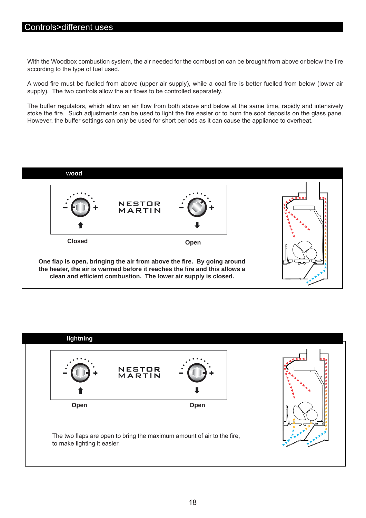#### Controls>different uses

With the Woodbox combustion system, the air needed for the combustion can be brought from above or below the fire according to the type of fuel used.

A wood fire must be fuelled from above (upper air supply), while a coal fire is better fuelled from below (lower air supply). The two controls allow the air flows to be controlled separately.

The buffer regulators, which allow an air flow from both above and below at the same time, rapidly and intensively stoke the fire. Such adjustments can be used to light the fire easier or to burn the soot deposits on the glass pane. However, the buffer settings can only be used for short periods as it can cause the appliance to overheat.



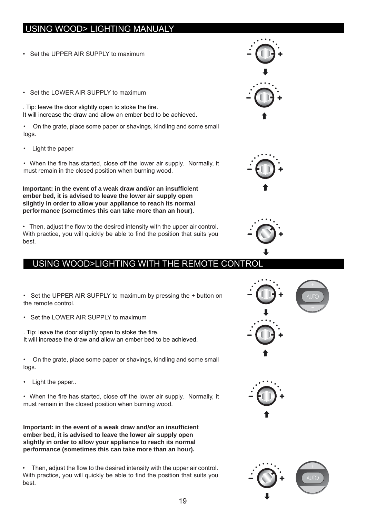### USING WOOD> LIGHTING MANUALY

- Set the UPPER AIR SUPPLY to maximum
- Set the LOWER AIR SUPPLY to maximum

. Tip: leave the door slightly open to stoke the fire. It will increase the draw and allow an ember bed to be achieved.

• On the grate, place some paper or shavings, kindling and some small logs.

• Light the paper

• When the fire has started, close off the lower air supply. Normally, it must remain in the closed position when burning wood.

**Important: in the event of a weak draw and/or an insuffi cient ember bed, it is advised to leave the lower air supply open slightly in order to allow your appliance to reach its normal performance (sometimes this can take more than an hour).** 

• Then, adjust the flow to the desired intensity with the upper air control. With practice, you will quickly be able to find the position that suits you best.

#### USING WOOD>LIGHTING WITH THE REMOTE CONTROL

• Set the UPPER AIR SUPPLY to maximum by pressing the + button on the remote control.

• Set the LOWER AIR SUPPLY to maximum

. Tip: leave the door slightly open to stoke the fire. It will increase the draw and allow an ember bed to be achieved.

• On the grate, place some paper or shavings, kindling and some small logs.

Light the paper..

• When the fire has started, close off the lower air supply. Normally, it must remain in the closed position when burning wood.

**Important: in the event of a weak draw and/or an insuffi cient ember bed, it is advised to leave the lower air supply open slightly in order to allow your appliance to reach its normal performance (sometimes this can take more than an hour).** 

Then, adjust the flow to the desired intensity with the upper air control. With practice, you will quickly be able to find the position that suits you best.







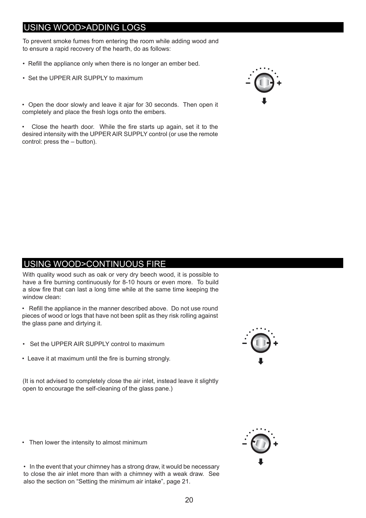### USING WOOD>ADDING LOGS

To prevent smoke fumes from entering the room while adding wood and to ensure a rapid recovery of the hearth, do as follows:

- Refill the appliance only when there is no longer an ember bed.
- Set the UPPER AIR SUPPLY to maximum

• Open the door slowly and leave it ajar for 30 seconds. Then open it completely and place the fresh logs onto the embers.

Close the hearth door. While the fire starts up again, set it to the desired intensity with the UPPER AIR SUPPLY control (or use the remote control: press the – button).



#### USING WOOD>CONTINUOUS FIRE

With quality wood such as oak or very dry beech wood, it is possible to have a fire burning continuously for 8-10 hours or even more. To build a slow fire that can last a long time while at the same time keeping the window clean:

• Refill the appliance in the manner described above. Do not use round pieces of wood or logs that have not been split as they risk rolling against the glass pane and dirtying it.

- Set the UPPER AIR SUPPLY control to maximum
- Leave it at maximum until the fire is burning strongly.

(It is not advised to completely close the air inlet, instead leave it slightly open to encourage the self-cleaning of the glass pane.)

• Then lower the intensity to almost minimum

• In the event that your chimney has a strong draw, it would be necessary to close the air inlet more than with a chimney with a weak draw. See also the section on "Setting the minimum air intake", page 21.



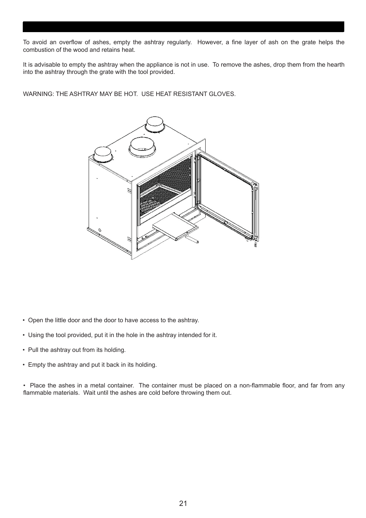To avoid an overflow of ashes, empty the ashtray regularly. However, a fine layer of ash on the grate helps the combustion of the wood and retains heat.

It is advisable to empty the ashtray when the appliance is not in use. To remove the ashes, drop them from the hearth into the ashtray through the grate with the tool provided.

WARNING: THE ASHTRAY MAY BE HOT. USE HEAT RESISTANT GLOVES.



- Open the little door and the door to have access to the ashtray.
- Using the tool provided, put it in the hole in the ashtray intended for it.
- Pull the ashtray out from its holding.
- Empty the ashtray and put it back in its holding.

• Place the ashes in a metal container. The container must be placed on a non-flammable floor, and far from any flammable materials. Wait until the ashes are cold before throwing them out.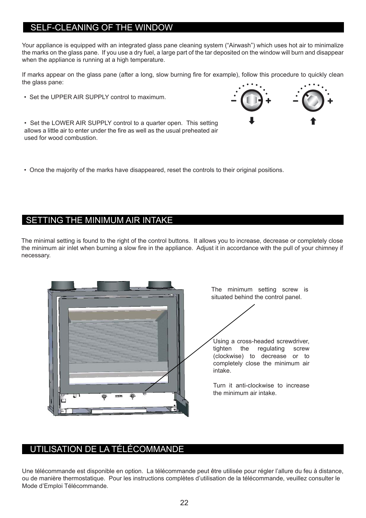#### SELF-CLEANING OF THE WINDOW

Your appliance is equipped with an integrated glass pane cleaning system ("Airwash") which uses hot air to minimalize the marks on the glass pane. If you use a dry fuel, a large part of the tar deposited on the window will burn and disappear when the appliance is running at a high temperature.

If marks appear on the glass pane (after a long, slow burning fire for example), follow this procedure to quickly clean the glass pane:

• Set the UPPER AIR SUPPLY control to maximum.



• Set the LOWER AIR SUPPLY control to a quarter open. This setting allows a little air to enter under the fire as well as the usual preheated air used for wood combustion.

• Once the majority of the marks have disappeared, reset the controls to their original positions.

#### SETTING THE MINIMUM AIR INTAKE

The minimal setting is found to the right of the control buttons. It allows you to increase, decrease or completely close the minimum air inlet when burning a slow fire in the appliance. Adjust it in accordance with the pull of your chimney if necessary.



The minimum setting screw is situated behind the control panel.

Using a cross-headed screwdriver, tighten the regulating screw (clockwise) to decrease or to completely close the minimum air intake.

Turn it anti-clockwise to increase the minimum air intake.

#### UTILISATION DE LA TÉLÉCOMMANDE

Une télécommande est disponible en option. La télécommande peut être utilisée pour régler l'allure du feu à distance, ou de manière thermostatique. Pour les instructions complètes d'utilisation de la télécommande, veuillez consulter le Mode d'Emploi Télécommande.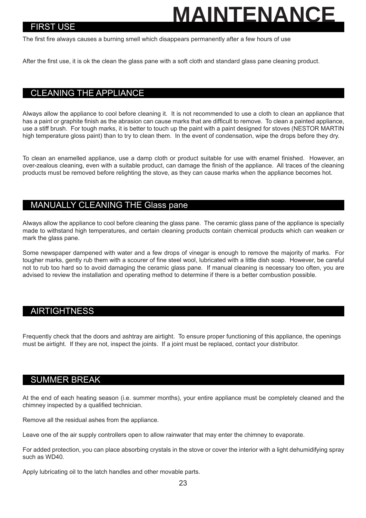# **MAINTENANCI**

#### FIRST USE

The first fire always causes a burning smell which disappears permanently after a few hours of use

After the first use, it is ok the clean the glass pane with a soft cloth and standard glass pane cleaning product.

#### CLEANING THE APPLIANCE

Always allow the appliance to cool before cleaning it. It is not recommended to use a cloth to clean an appliance that has a paint or graphite finish as the abrasion can cause marks that are difficult to remove. To clean a painted appliance, use a stiff brush. For tough marks, it is better to touch up the paint with a paint designed for stoves (NESTOR MARTIN high temperature gloss paint) than to try to clean them. In the event of condensation, wipe the drops before they dry.

To clean an enamelled appliance, use a damp cloth or product suitable for use with enamel finished. However, an over-zealous cleaning, even with a suitable product, can damage the finish of the appliance. All traces of the cleaning products must be removed before relighting the stove, as they can cause marks when the appliance becomes hot.

#### MANUALLY CLEANING THE Glass pane

Always allow the appliance to cool before cleaning the glass pane. The ceramic glass pane of the appliance is specially made to withstand high temperatures, and certain cleaning products contain chemical products which can weaken or mark the glass pane.

Some newspaper dampened with water and a few drops of vinegar is enough to remove the majority of marks. For tougher marks, gently rub them with a scourer of fine steel wool, lubricated with a little dish soap. However, be careful not to rub too hard so to avoid damaging the ceramic glass pane. If manual cleaning is necessary too often, you are advised to review the installation and operating method to determine if there is a better combustion possible.

#### AIRTIGHTNESS

Frequently check that the doors and ashtray are airtight. To ensure proper functioning of this appliance, the openings must be airtight. If they are not, inspect the joints. If a joint must be replaced, contact your distributor.

#### SUMMER BREAK

At the end of each heating season (i.e. summer months), your entire appliance must be completely cleaned and the chimney inspected by a qualified technician.

Remove all the residual ashes from the appliance.

Leave one of the air supply controllers open to allow rainwater that may enter the chimney to evaporate.

For added protection, you can place absorbing crystals in the stove or cover the interior with a light dehumidifying spray such as WD40.

Apply lubricating oil to the latch handles and other movable parts.